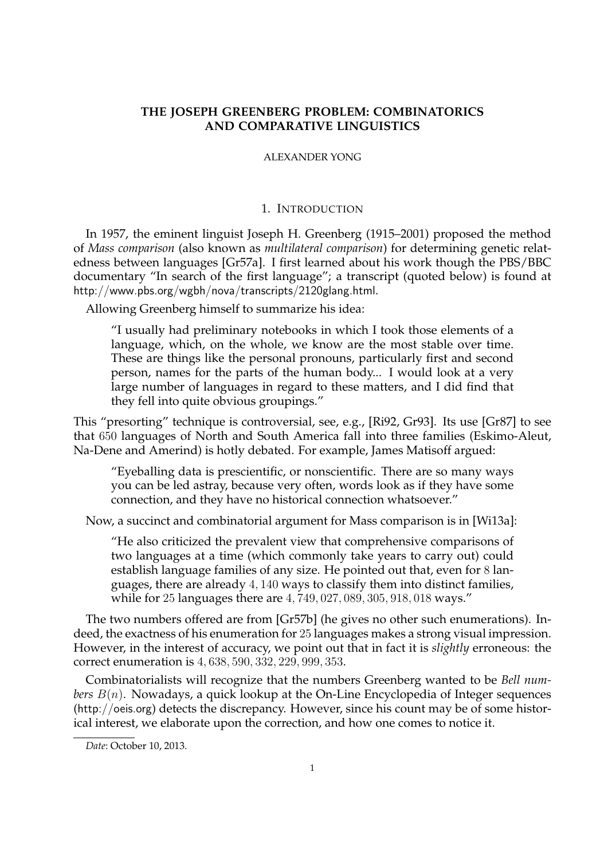# **THE JOSEPH GREENBERG PROBLEM: COMBINATORICS AND COMPARATIVE LINGUISTICS**

#### ALEXANDER YONG

### 1. INTRODUCTION

In 1957, the eminent linguist Joseph H. Greenberg (1915–2001) proposed the method of *Mass comparison* (also known as *multilateral comparison*) for determining genetic relatedness between languages [Gr57a]. I first learned about his work though the PBS/BBC documentary "In search of the first language"; a transcript (quoted below) is found at http://www.pbs.org/wgbh/nova/transcripts/2120glang.html.

Allowing Greenberg himself to summarize his idea:

"I usually had preliminary notebooks in which I took those elements of a language, which, on the whole, we know are the most stable over time. These are things like the personal pronouns, particularly first and second person, names for the parts of the human body... I would look at a very large number of languages in regard to these matters, and I did find that they fell into quite obvious groupings."

This "presorting" technique is controversial, see, e.g., [Ri92, Gr93]. Its use [Gr87] to see that 650 languages of North and South America fall into three families (Eskimo-Aleut, Na-Dene and Amerind) is hotly debated. For example, James Matisoff argued:

"Eyeballing data is prescientific, or nonscientific. There are so many ways you can be led astray, because very often, words look as if they have some connection, and they have no historical connection whatsoever."

Now, a succinct and combinatorial argument for Mass comparison is in [Wi13a]:

"He also criticized the prevalent view that comprehensive comparisons of two languages at a time (which commonly take years to carry out) could establish language families of any size. He pointed out that, even for 8 languages, there are already 4, 140 ways to classify them into distinct families, while for 25 languages there are 4, 749, 027, 089, 305, 918, 018 ways."

The two numbers offered are from [Gr57b] (he gives no other such enumerations). Indeed, the exactness of his enumeration for 25 languages makes a strong visual impression. However, in the interest of accuracy, we point out that in fact it is *slightly* erroneous: the correct enumeration is 4, 638, 590, 332, 229, 999, 353.

Combinatorialists will recognize that the numbers Greenberg wanted to be *Bell numbers*  $B(n)$ . Nowadays, a quick lookup at the On-Line Encyclopedia of Integer sequences (http://oeis.org) detects the discrepancy. However, since his count may be of some historical interest, we elaborate upon the correction, and how one comes to notice it.

*Date*: October 10, 2013.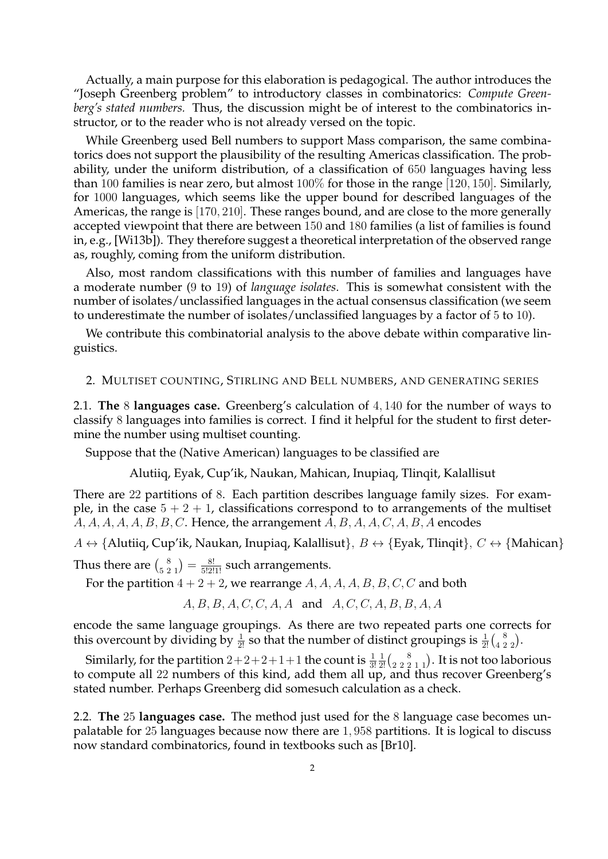Actually, a main purpose for this elaboration is pedagogical. The author introduces the "Joseph Greenberg problem" to introductory classes in combinatorics: *Compute Greenberg's stated numbers.* Thus, the discussion might be of interest to the combinatorics instructor, or to the reader who is not already versed on the topic.

While Greenberg used Bell numbers to support Mass comparison, the same combinatorics does not support the plausibility of the resulting Americas classification. The probability, under the uniform distribution, of a classification of 650 languages having less than 100 families is near zero, but almost 100% for those in the range [120, 150]. Similarly, for 1000 languages, which seems like the upper bound for described languages of the Americas, the range is [170, 210]. These ranges bound, and are close to the more generally accepted viewpoint that there are between 150 and 180 families (a list of families is found in, e.g., [Wi13b]). They therefore suggest a theoretical interpretation of the observed range as, roughly, coming from the uniform distribution.

Also, most random classifications with this number of families and languages have a moderate number (9 to 19) of *language isolates*. This is somewhat consistent with the number of isolates/unclassified languages in the actual consensus classification (we seem to underestimate the number of isolates/unclassified languages by a factor of 5 to 10).

We contribute this combinatorial analysis to the above debate within comparative linguistics.

### 2. MULTISET COUNTING, STIRLING AND BELL NUMBERS, AND GENERATING SERIES

2.1. **The** 8 **languages case.** Greenberg's calculation of 4, 140 for the number of ways to classify 8 languages into families is correct. I find it helpful for the student to first determine the number using multiset counting.

Suppose that the (Native American) languages to be classified are

Alutiiq, Eyak, Cup'ik, Naukan, Mahican, Inupiaq, Tlinqit, Kalallisut

There are 22 partitions of 8. Each partition describes language family sizes. For example, in the case  $5 + 2 + 1$ , classifications correspond to to arrangements of the multiset  $A, A, A, A, A, B, B, C$ . Hence, the arrangement  $A, B, A, A, C, A, B, A$  encodes

 $A \leftrightarrow \{$ Alutiiq, Cup'ik, Naukan, Inupiaq, Kalallisut $\}, B \leftrightarrow \{$ Eyak, Tlinqit $\}, C \leftrightarrow \{$ Mahican $\}$ 

Thus there are  $\binom{8}{5\ 2\ 1} = \frac{8!}{5!2!1!}$  such arrangements.

For the partition  $4 + 2 + 2$ , we rearrange A, A, A, A, B, B, C, C and both

 $A, B, B, A, C, C, A, A$  and  $A, C, C, A, B, B, A, A$ 

encode the same language groupings. As there are two repeated parts one corrects for this overcount by dividing by  $\frac{1}{2!}$  so that the number of distinct groupings is  $\frac{1}{2!} {8 \choose 4 \ 2 \ 2}$ .

Similarly, for the partition  $2+2+2+1+1$  the count is  $\frac{1}{3!}$  $\frac{1}{2!}$  $\binom{8}{2\ 2\ 2\ 1\ 1}$ . It is not too laborious to compute all 22 numbers of this kind, add them all up, and thus recover Greenberg's stated number. Perhaps Greenberg did somesuch calculation as a check.

2.2. **The** 25 **languages case.** The method just used for the 8 language case becomes unpalatable for 25 languages because now there are 1, 958 partitions. It is logical to discuss now standard combinatorics, found in textbooks such as [Br10].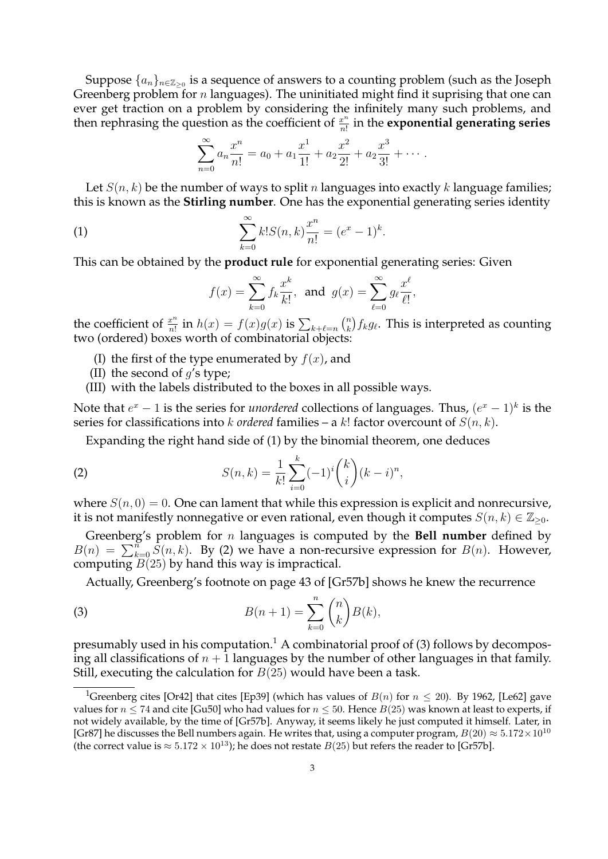Suppose  $\{a_n\}_{n\in\mathbb{Z}_{\geq 0}}$  is a sequence of answers to a counting problem (such as the Joseph Greenberg problem for  $n$  languages). The uninitiated might find it suprising that one can ever get traction on a problem by considering the infinitely many such problems, and then rephrasing the question as the coefficient of  $\frac{x^n}{n!}$  $\frac{x^n}{n!}$  in the **exponential generating series** 

$$
\sum_{n=0}^{\infty} a_n \frac{x^n}{n!} = a_0 + a_1 \frac{x^1}{1!} + a_2 \frac{x^2}{2!} + a_2 \frac{x^3}{3!} + \cdots
$$

Let  $S(n, k)$  be the number of ways to split n languages into exactly k language families; this is known as the **Stirling number**. One has the exponential generating series identity

(1) 
$$
\sum_{k=0}^{\infty} k! S(n,k) \frac{x^n}{n!} = (e^x - 1)^k.
$$

This can be obtained by the **product rule** for exponential generating series: Given

$$
f(x) = \sum_{k=0}^{\infty} f_k \frac{x^k}{k!}, \text{ and } g(x) = \sum_{\ell=0}^{\infty} g_\ell \frac{x^\ell}{\ell!},
$$

the coefficient of  $\frac{x^n}{n!}$  $\frac{x^n}{n!}$  in  $h(x) = f(x)g(x)$  is  $\sum_{k+\ell=n} {n \choose k}$  $\binom{n}{k} f_k g_\ell.$  This is interpreted as counting two (ordered) boxes worth of combinatorial objects:

- (I) the first of the type enumerated by  $f(x)$ , and
- (II) the second of  $q$ 's type;
- (III) with the labels distributed to the boxes in all possible ways.

Note that  $e^x - 1$  is the series for *unordered* collections of languages. Thus,  $(e^x - 1)^k$  is the series for classifications into k *ordered* families – a k! factor overcount of  $S(n, k)$ .

Expanding the right hand side of (1) by the binomial theorem, one deduces

(2) 
$$
S(n,k) = \frac{1}{k!} \sum_{i=0}^{k} (-1)^{i} {k \choose i} (k-i)^{n},
$$

where  $S(n, 0) = 0$ . One can lament that while this expression is explicit and nonrecursive, it is not manifestly nonnegative or even rational, even though it computes  $S(n, k) \in \mathbb{Z}_{\geq 0}$ .

Greenberg's problem for n languages is computed by the **Bell number** defined by  $B(n) = \sum_{k=0}^{n} \dot{S}(n, k)$ . By (2) we have a non-recursive expression for  $B(n)$ . However, computing  $B(25)$  by hand this way is impractical.

Actually, Greenberg's footnote on page 43 of [Gr57b] shows he knew the recurrence

(3) 
$$
B(n+1) = \sum_{k=0}^{n} {n \choose k} B(k),
$$

presumably used in his computation.<sup>1</sup> A combinatorial proof of  $(3)$  follows by decomposing all classifications of  $n + 1$  languages by the number of other languages in that family. Still, executing the calculation for  $B(25)$  would have been a task.

<sup>&</sup>lt;sup>1</sup>Greenberg cites [Or42] that cites [Ep39] (which has values of  $B(n)$  for  $n \le 20$ ). By 1962, [Le62] gave values for  $n \le 74$  and cite [Gu50] who had values for  $n \le 50$ . Hence  $B(25)$  was known at least to experts, if not widely available, by the time of [Gr57b]. Anyway, it seems likely he just computed it himself. Later, in [Gr87] he discusses the Bell numbers again. He writes that, using a computer program,  $B(20) \approx 5.172 \times 10^{10}$ (the correct value is  $\approx 5.172 \times 10^{13}$ ); he does not restate  $B(25)$  but refers the reader to [Gr57b].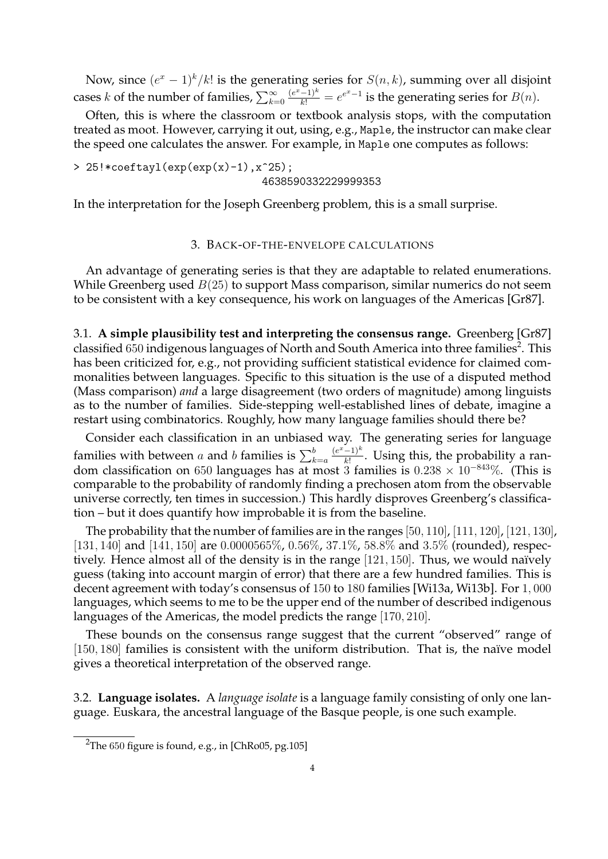Now, since  $(e^x - 1)^k / k!$  is the generating series for  $S(n, k)$ , summing over all disjoint cases k of the number of families,  $\sum_{k=0}^{\infty}$  $\frac{(e^x-1)^k}{k!}=e^{e^x-1}$  is the generating series for  $B(n)$ .

Often, this is where the classroom or textbook analysis stops, with the computation treated as moot. However, carrying it out, using, e.g., Maple, the instructor can make clear the speed one calculates the answer. For example, in Maple one computes as follows:

 $> 25! * \text{coeffayl}(\exp(\exp(x)-1), x^25);$ 4638590332229999353

In the interpretation for the Joseph Greenberg problem, this is a small surprise.

## 3. BACK-OF-THE-ENVELOPE CALCULATIONS

An advantage of generating series is that they are adaptable to related enumerations. While Greenberg used  $B(25)$  to support Mass comparison, similar numerics do not seem to be consistent with a key consequence, his work on languages of the Americas [Gr87].

3.1. **A simple plausibility test and interpreting the consensus range.** Greenberg [Gr87] classified  $650$  indigenous languages of North and South America into three families<sup>2</sup>. This has been criticized for, e.g., not providing sufficient statistical evidence for claimed commonalities between languages. Specific to this situation is the use of a disputed method (Mass comparison) *and* a large disagreement (two orders of magnitude) among linguists as to the number of families. Side-stepping well-established lines of debate, imagine a restart using combinatorics. Roughly, how many language families should there be?

Consider each classification in an unbiased way. The generating series for language families with between  $a$  and  $b$  families is  $\sum_{k=a}^{b}$  $(e^x-1)^k$  $\frac{(-1)}{k!}$ . Using this, the probability a random classification on 650 languages has at most 3 families is  $0.238 \times 10^{-843}$ %. (This is comparable to the probability of randomly finding a prechosen atom from the observable universe correctly, ten times in succession.) This hardly disproves Greenberg's classification – but it does quantify how improbable it is from the baseline.

The probability that the number of families are in the ranges  $[50, 110]$ ,  $[111, 120]$ ,  $[121, 130]$ , [131, 140] and [141, 150] are 0.0000565%, 0.56%, 37.1%, 58.8% and 3.5% (rounded), respectively. Hence almost all of the density is in the range  $[121, 150]$ . Thus, we would naïvely guess (taking into account margin of error) that there are a few hundred families. This is decent agreement with today's consensus of 150 to 180 families [Wi13a, Wi13b]. For 1, 000 languages, which seems to me to be the upper end of the number of described indigenous languages of the Americas, the model predicts the range [170, 210].

These bounds on the consensus range suggest that the current "observed" range of  $[150, 180]$  families is consistent with the uniform distribution. That is, the naïve model gives a theoretical interpretation of the observed range.

3.2. **Language isolates.** A *language isolate* is a language family consisting of only one language. Euskara, the ancestral language of the Basque people, is one such example.

<sup>&</sup>lt;sup>2</sup>The 650 figure is found, e.g., in [ChRo05, pg.105]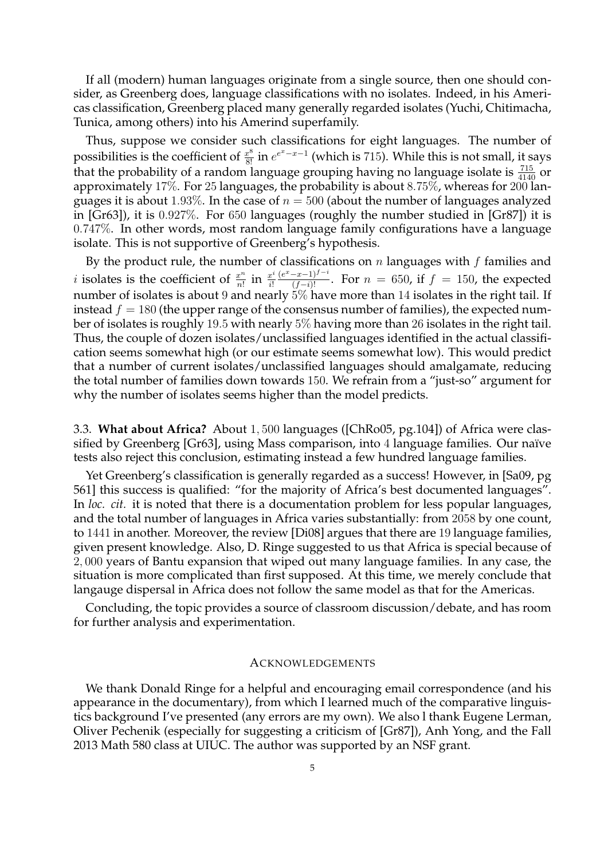If all (modern) human languages originate from a single source, then one should consider, as Greenberg does, language classifications with no isolates. Indeed, in his Americas classification, Greenberg placed many generally regarded isolates (Yuchi, Chitimacha, Tunica, among others) into his Amerind superfamily.

Thus, suppose we consider such classifications for eight languages. The number of possibilities is the coefficient of  $\frac{x^8}{8!}$  in  $e^{e^x-x-1}$  (which is 715). While this is not small, it says that the probability of a random language grouping having no language isolate is  $\frac{715}{4140}$  or approximately 17%. For 25 languages, the probability is about 8.75%, whereas for 200 languages it is about 1.93%. In the case of  $n = 500$  (about the number of languages analyzed in [Gr63]), it is 0.927%. For 650 languages (roughly the number studied in [Gr87]) it is 0.747%. In other words, most random language family configurations have a language isolate. This is not supportive of Greenberg's hypothesis.

By the product rule, the number of classifications on  $n$  languages with  $f$  families and *i* isolates is the coefficient of  $\frac{x^n}{n!}$  $\frac{x^n}{n!}$  in  $\frac{x^i}{i!}$ i!  $\frac{(e^x-x-1)^{f-i}}{(f-i)!}$ . For  $n = 650$ , if  $f = 150$ , the expected number of isolates is about 9 and nearly 5% have more than 14 isolates in the right tail. If instead  $f = 180$  (the upper range of the consensus number of families), the expected number of isolates is roughly 19.5 with nearly 5% having more than 26 isolates in the right tail. Thus, the couple of dozen isolates/unclassified languages identified in the actual classification seems somewhat high (or our estimate seems somewhat low). This would predict that a number of current isolates/unclassified languages should amalgamate, reducing the total number of families down towards 150. We refrain from a "just-so" argument for why the number of isolates seems higher than the model predicts.

3.3. **What about Africa?** About 1, 500 languages ([ChRo05, pg.104]) of Africa were classified by Greenberg [Gr63], using Mass comparison, into 4 language families. Our naïve tests also reject this conclusion, estimating instead a few hundred language families.

Yet Greenberg's classification is generally regarded as a success! However, in [Sa09, pg 561] this success is qualified: "for the majority of Africa's best documented languages". In *loc. cit.* it is noted that there is a documentation problem for less popular languages, and the total number of languages in Africa varies substantially: from 2058 by one count, to 1441 in another. Moreover, the review [Di08] argues that there are 19 language families, given present knowledge. Also, D. Ringe suggested to us that Africa is special because of 2, 000 years of Bantu expansion that wiped out many language families. In any case, the situation is more complicated than first supposed. At this time, we merely conclude that langauge dispersal in Africa does not follow the same model as that for the Americas.

Concluding, the topic provides a source of classroom discussion/debate, and has room for further analysis and experimentation.

### ACKNOWLEDGEMENTS

We thank Donald Ringe for a helpful and encouraging email correspondence (and his appearance in the documentary), from which I learned much of the comparative linguistics background I've presented (any errors are my own). We also l thank Eugene Lerman, Oliver Pechenik (especially for suggesting a criticism of [Gr87]), Anh Yong, and the Fall 2013 Math 580 class at UIUC. The author was supported by an NSF grant.